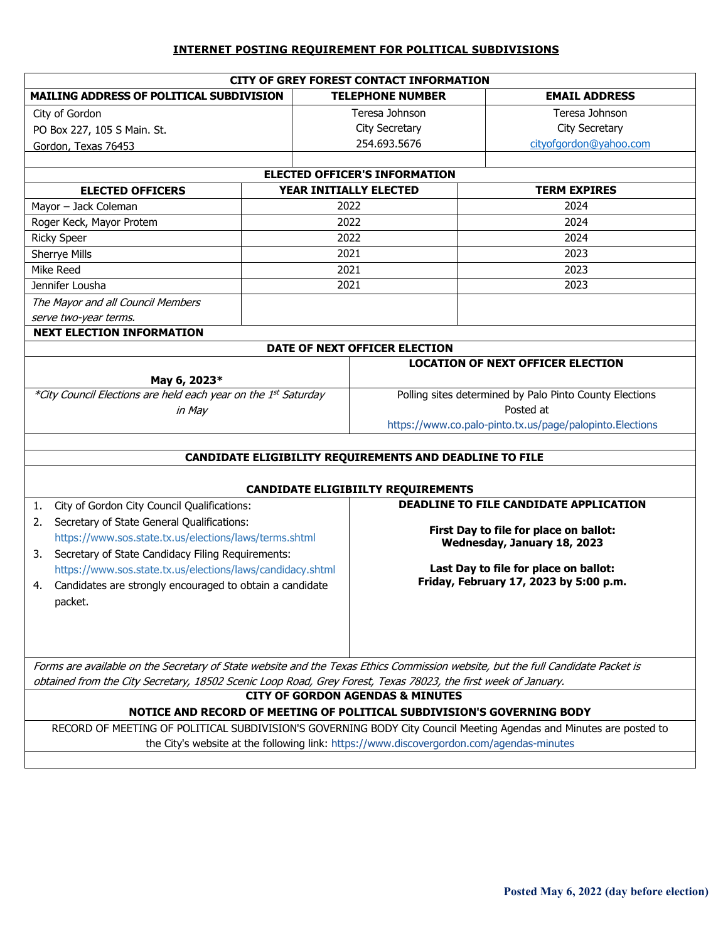## **INTERNET POSTING REQUIREMENT FOR POLITICAL SUBDIVISIONS**

| <b>CITY OF GREY FOREST CONTACT INFORMATION</b>                                                                                  |                        |                                                                                          |                                          |  |  |  |
|---------------------------------------------------------------------------------------------------------------------------------|------------------------|------------------------------------------------------------------------------------------|------------------------------------------|--|--|--|
| MAILING ADDRESS OF POLITICAL SUBDIVISION                                                                                        |                        | <b>TELEPHONE NUMBER</b>                                                                  | <b>EMAIL ADDRESS</b>                     |  |  |  |
| City of Gordon                                                                                                                  |                        | Teresa Johnson                                                                           | Teresa Johnson                           |  |  |  |
| PO Box 227, 105 S Main. St.                                                                                                     |                        | City Secretary                                                                           | City Secretary                           |  |  |  |
| Gordon, Texas 76453                                                                                                             |                        | 254.693.5676                                                                             | cityofgordon@yahoo.com                   |  |  |  |
|                                                                                                                                 |                        |                                                                                          |                                          |  |  |  |
| <b>ELECTED OFFICER'S INFORMATION</b>                                                                                            |                        |                                                                                          |                                          |  |  |  |
| <b>ELECTED OFFICERS</b>                                                                                                         | YEAR INITIALLY ELECTED |                                                                                          | <b>TERM EXPIRES</b>                      |  |  |  |
| Mayor - Jack Coleman                                                                                                            | 2022                   |                                                                                          | 2024                                     |  |  |  |
| Roger Keck, Mayor Protem                                                                                                        | 2022                   |                                                                                          | 2024                                     |  |  |  |
| <b>Ricky Speer</b>                                                                                                              | 2022                   |                                                                                          | 2024                                     |  |  |  |
| Sherrye Mills                                                                                                                   | 2021                   |                                                                                          | 2023                                     |  |  |  |
| Mike Reed                                                                                                                       | 2021                   |                                                                                          | 2023                                     |  |  |  |
| Jennifer Lousha                                                                                                                 | 2021                   |                                                                                          | 2023                                     |  |  |  |
| The Mayor and all Council Members                                                                                               |                        |                                                                                          |                                          |  |  |  |
| serve two-year terms.                                                                                                           |                        |                                                                                          |                                          |  |  |  |
| <b>NEXT ELECTION INFORMATION</b>                                                                                                |                        |                                                                                          |                                          |  |  |  |
| DATE OF NEXT OFFICER ELECTION                                                                                                   |                        |                                                                                          |                                          |  |  |  |
|                                                                                                                                 |                        |                                                                                          | <b>LOCATION OF NEXT OFFICER ELECTION</b> |  |  |  |
| May 6, 2023*                                                                                                                    |                        |                                                                                          |                                          |  |  |  |
| *City Council Elections are held each year on the 1st Saturday                                                                  |                        | Polling sites determined by Palo Pinto County Elections                                  |                                          |  |  |  |
| in May                                                                                                                          |                        | Posted at                                                                                |                                          |  |  |  |
|                                                                                                                                 |                        | https://www.co.palo-pinto.tx.us/page/palopinto.Elections                                 |                                          |  |  |  |
|                                                                                                                                 |                        |                                                                                          |                                          |  |  |  |
|                                                                                                                                 |                        | CANDIDATE ELIGIBILITY REQUIREMENTS AND DEADLINE TO FILE                                  |                                          |  |  |  |
|                                                                                                                                 |                        |                                                                                          |                                          |  |  |  |
|                                                                                                                                 |                        | <b>CANDIDATE ELIGIBIILTY REQUIREMENTS</b>                                                | DEADLINE TO FILE CANDIDATE APPLICATION   |  |  |  |
| City of Gordon City Council Qualifications:<br>1.                                                                               |                        |                                                                                          |                                          |  |  |  |
| Secretary of State General Qualifications:<br>2.                                                                                |                        | First Day to file for place on ballot:                                                   |                                          |  |  |  |
| https://www.sos.state.tx.us/elections/laws/terms.shtml                                                                          |                        | Wednesday, January 18, 2023                                                              |                                          |  |  |  |
| Secretary of State Candidacy Filing Requirements:<br>3.                                                                         |                        |                                                                                          |                                          |  |  |  |
| https://www.sos.state.tx.us/elections/laws/candidacy.shtml                                                                      |                        | Last Day to file for place on ballot:<br>Friday, February 17, 2023 by 5:00 p.m.          |                                          |  |  |  |
| Candidates are strongly encouraged to obtain a candidate<br>4.                                                                  |                        |                                                                                          |                                          |  |  |  |
| packet.                                                                                                                         |                        |                                                                                          |                                          |  |  |  |
|                                                                                                                                 |                        |                                                                                          |                                          |  |  |  |
|                                                                                                                                 |                        |                                                                                          |                                          |  |  |  |
|                                                                                                                                 |                        |                                                                                          |                                          |  |  |  |
| Forms are available on the Secretary of State website and the Texas Ethics Commission website, but the full Candidate Packet is |                        |                                                                                          |                                          |  |  |  |
| obtained from the City Secretary, 18502 Scenic Loop Road, Grey Forest, Texas 78023, the first week of January.                  |                        |                                                                                          |                                          |  |  |  |
| <b>CITY OF GORDON AGENDAS &amp; MINUTES</b><br>NOTICE AND RECORD OF MEETING OF POLITICAL SUBDIVISION'S GOVERNING BODY           |                        |                                                                                          |                                          |  |  |  |
| RECORD OF MEETING OF POLITICAL SUBDIVISION'S GOVERNING BODY City Council Meeting Agendas and Minutes are posted to              |                        |                                                                                          |                                          |  |  |  |
|                                                                                                                                 |                        | the City's website at the following link: https://www.discovergordon.com/agendas-minutes |                                          |  |  |  |
|                                                                                                                                 |                        |                                                                                          |                                          |  |  |  |